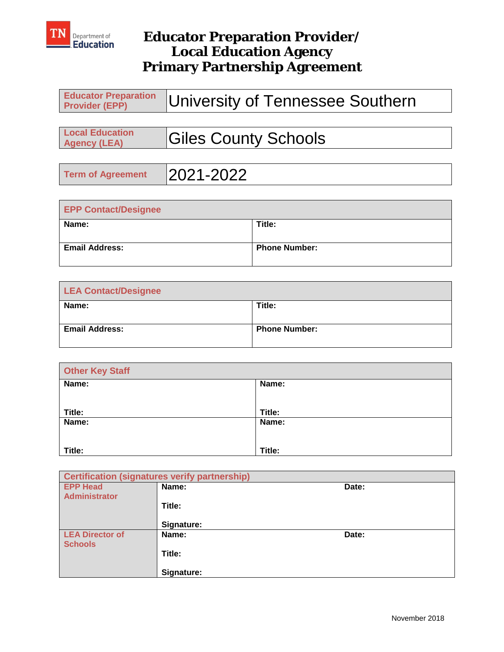

| Educator Preparation   University of Tennessee Southern |
|---------------------------------------------------------|
|                                                         |

| <b>Local Education</b> |                             |
|------------------------|-----------------------------|
| <b>Agency (LEA)</b>    | <b>Giles County Schools</b> |
|                        |                             |

| <b>Term of Agreement</b> | 2021-2022 |
|--------------------------|-----------|
|                          |           |

| <b>EPP Contact/Designee</b> |                      |  |  |  |
|-----------------------------|----------------------|--|--|--|
| Name:                       | Title:               |  |  |  |
| <b>Email Address:</b>       | <b>Phone Number:</b> |  |  |  |

| <b>LEA Contact/Designee</b> |                      |  |  |  |
|-----------------------------|----------------------|--|--|--|
| Name:                       | Title:               |  |  |  |
| <b>Email Address:</b>       | <b>Phone Number:</b> |  |  |  |

| <b>Other Key Staff</b> |        |  |  |
|------------------------|--------|--|--|
| Name:                  | Name:  |  |  |
|                        |        |  |  |
| Title:                 | Title: |  |  |
| Name:                  | Name:  |  |  |
|                        |        |  |  |
| Title:                 | Title: |  |  |

| <b>Certification (signatures verify partnership)</b> |            |       |  |
|------------------------------------------------------|------------|-------|--|
| <b>EPP Head</b>                                      | Name:      | Date: |  |
| <b>Administrator</b>                                 |            |       |  |
|                                                      | Title:     |       |  |
|                                                      |            |       |  |
|                                                      | Signature: |       |  |
| <b>LEA Director of</b>                               | Name:      | Date: |  |
| <b>Schools</b>                                       |            |       |  |
|                                                      | Title:     |       |  |
|                                                      |            |       |  |
|                                                      | Signature: |       |  |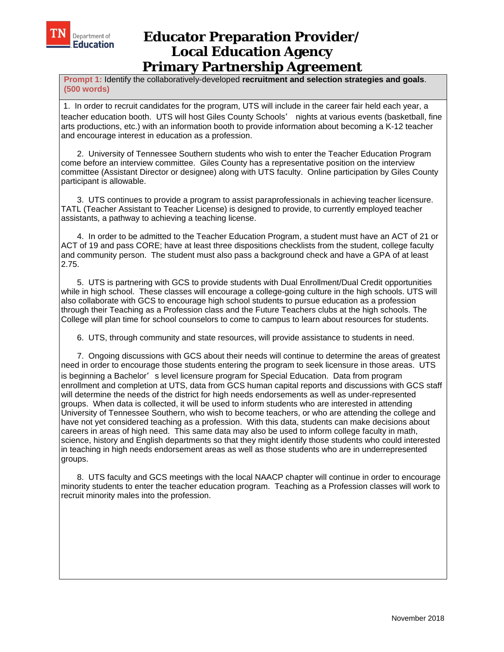

**Prompt 1:** Identify the collaboratively-developed **recruitment and selection strategies and goals**. **(500 words)** 

 1. In order to recruit candidates for the program, UTS will include in the career fair held each year, a teacher education booth. UTS will host Giles County Schools' nights at various events (basketball, fine arts productions, etc.) with an information booth to provide information about becoming a K-12 teacher and encourage interest in education as a profession.

 2. University of Tennessee Southern students who wish to enter the Teacher Education Program come before an interview committee. Giles County has a representative position on the interview committee (Assistant Director or designee) along with UTS faculty. Online participation by Giles County participant is allowable.

 3. UTS continues to provide a program to assist paraprofessionals in achieving teacher licensure. TATL (Teacher Assistant to Teacher License) is designed to provide, to currently employed teacher assistants, a pathway to achieving a teaching license.

 4. In order to be admitted to the Teacher Education Program, a student must have an ACT of 21 or ACT of 19 and pass CORE; have at least three dispositions checklists from the student, college faculty and community person. The student must also pass a background check and have a GPA of at least 2.75.

 5. UTS is partnering with GCS to provide students with Dual Enrollment/Dual Credit opportunities while in high school. These classes will encourage a college-going culture in the high schools. UTS will also collaborate with GCS to encourage high school students to pursue education as a profession through their Teaching as a Profession class and the Future Teachers clubs at the high schools. The College will plan time for school counselors to come to campus to learn about resources for students.

6. UTS, through community and state resources, will provide assistance to students in need.

 7. Ongoing discussions with GCS about their needs will continue to determine the areas of greatest need in order to encourage those students entering the program to seek licensure in those areas. UTS is beginning a Bachelor's level licensure program for Special Education. Data from program enrollment and completion at UTS, data from GCS human capital reports and discussions with GCS staff will determine the needs of the district for high needs endorsements as well as under-represented groups. When data is collected, it will be used to inform students who are interested in attending University of Tennessee Southern, who wish to become teachers, or who are attending the college and have not yet considered teaching as a profession. With this data, students can make decisions about careers in areas of high need. This same data may also be used to inform college faculty in math, science, history and English departments so that they might identify those students who could interested in teaching in high needs endorsement areas as well as those students who are in underrepresented groups.

 8. UTS faculty and GCS meetings with the local NAACP chapter will continue in order to encourage minority students to enter the teacher education program. Teaching as a Profession classes will work to recruit minority males into the profession.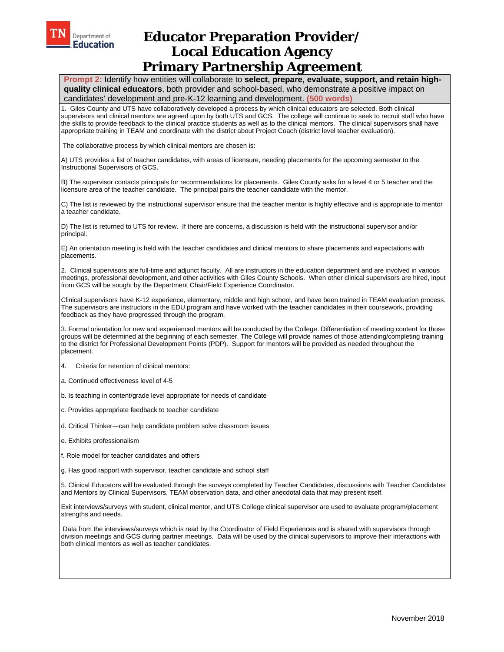

 **Prompt 2:** Identify how entities will collaborate to **select, prepare, evaluate, support, and retain highquality clinical educators**, both provider and school-based, who demonstrate a positive impact on candidates' development and pre-K-12 learning and development. **(500 words)** 

1. Giles County and UTS have collaboratively developed a process by which clinical educators are selected. Both clinical supervisors and clinical mentors are agreed upon by both UTS and GCS. The college will continue to seek to recruit staff who have the skills to provide feedback to the clinical practice students as well as to the clinical mentors. The clinical supervisors shall have appropriate training in TEAM and coordinate with the district about Project Coach (district level teacher evaluation).

The collaborative process by which clinical mentors are chosen is:

A) UTS provides a list of teacher candidates, with areas of licensure, needing placements for the upcoming semester to the Instructional Supervisors of GCS.

B) The supervisor contacts principals for recommendations for placements. Giles County asks for a level 4 or 5 teacher and the licensure area of the teacher candidate. The principal pairs the teacher candidate with the mentor.

C) The list is reviewed by the instructional supervisor ensure that the teacher mentor is highly effective and is appropriate to mentor a teacher candidate.

D) The list is returned to UTS for review. If there are concerns, a discussion is held with the instructional supervisor and/or principal.

E) An orientation meeting is held with the teacher candidates and clinical mentors to share placements and expectations with placements.

2. Clinical supervisors are full-time and adjunct faculty. All are instructors in the education department and are involved in various meetings, professional development, and other activities with Giles County Schools. When other clinical supervisors are hired, input from GCS will be sought by the Department Chair/Field Experience Coordinator.

Clinical supervisors have K-12 experience, elementary, middle and high school, and have been trained in TEAM evaluation process. The supervisors are instructors in the EDU program and have worked with the teacher candidates in their coursework, providing feedback as they have progressed through the program.

3. Formal orientation for new and experienced mentors will be conducted by the College. Differentiation of meeting content for those groups will be determined at the beginning of each semester. The College will provide names of those attending/completing training to the district for Professional Development Points (PDP). Support for mentors will be provided as needed throughout the placement.

4. Criteria for retention of clinical mentors:

a. Continued effectiveness level of 4-5

b. Is teaching in content/grade level appropriate for needs of candidate

c. Provides appropriate feedback to teacher candidate

d. Critical Thinker—can help candidate problem solve classroom issues

e. Exhibits professionalism

f. Role model for teacher candidates and others

g. Has good rapport with supervisor, teacher candidate and school staff

5. Clinical Educators will be evaluated through the surveys completed by Teacher Candidates, discussions with Teacher Candidates and Mentors by Clinical Supervisors, TEAM observation data, and other anecdotal data that may present itself.

Exit interviews/surveys with student, clinical mentor, and UTS College clinical supervisor are used to evaluate program/placement strengths and needs.

 Data from the interviews/surveys which is read by the Coordinator of Field Experiences and is shared with supervisors through division meetings and GCS during partner meetings. Data will be used by the clinical supervisors to improve their interactions with both clinical mentors as well as teacher candidates.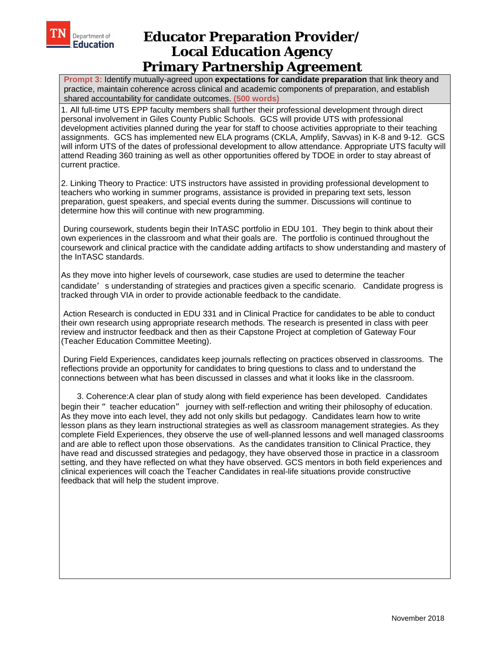

**Prompt 3:** Identify mutually-agreed upon **expectations for candidate preparation** that link theory and practice, maintain coherence across clinical and academic components of preparation, and establish shared accountability for candidate outcomes. **(500 words)** 

1. All full-time UTS EPP faculty members shall further their professional development through direct personal involvement in Giles County Public Schools. GCS will provide UTS with professional development activities planned during the year for staff to choose activities appropriate to their teaching assignments. GCS has implemented new ELA programs (CKLA, Amplify, Savvas) in K-8 and 9-12. GCS will inform UTS of the dates of professional development to allow attendance. Appropriate UTS faculty will attend Reading 360 training as well as other opportunities offered by TDOE in order to stay abreast of current practice.

2. Linking Theory to Practice: UTS instructors have assisted in providing professional development to teachers who working in summer programs, assistance is provided in preparing text sets, lesson preparation, guest speakers, and special events during the summer. Discussions will continue to determine how this will continue with new programming.

 During coursework, students begin their InTASC portfolio in EDU 101. They begin to think about their own experiences in the classroom and what their goals are. The portfolio is continued throughout the coursework and clinical practice with the candidate adding artifacts to show understanding and mastery of the InTASC standards.

As they move into higher levels of coursework, case studies are used to determine the teacher candidate's understanding of strategies and practices given a specific scenario. Candidate progress is tracked through VIA in order to provide actionable feedback to the candidate.

 Action Research is conducted in EDU 331 and in Clinical Practice for candidates to be able to conduct their own research using appropriate research methods. The research is presented in class with peer review and instructor feedback and then as their Capstone Project at completion of Gateway Four (Teacher Education Committee Meeting).

 During Field Experiences, candidates keep journals reflecting on practices observed in classrooms. The reflections provide an opportunity for candidates to bring questions to class and to understand the connections between what has been discussed in classes and what it looks like in the classroom.

 3. Coherence:A clear plan of study along with field experience has been developed. Candidates begin their " teacher education" journey with self-reflection and writing their philosophy of education. As they move into each level, they add not only skills but pedagogy. Candidates learn how to write lesson plans as they learn instructional strategies as well as classroom management strategies. As they complete Field Experiences, they observe the use of well-planned lessons and well managed classrooms and are able to reflect upon those observations. As the candidates transition to Clinical Practice, they have read and discussed strategies and pedagogy, they have observed those in practice in a classroom setting, and they have reflected on what they have observed. GCS mentors in both field experiences and clinical experiences will coach the Teacher Candidates in real-life situations provide constructive feedback that will help the student improve.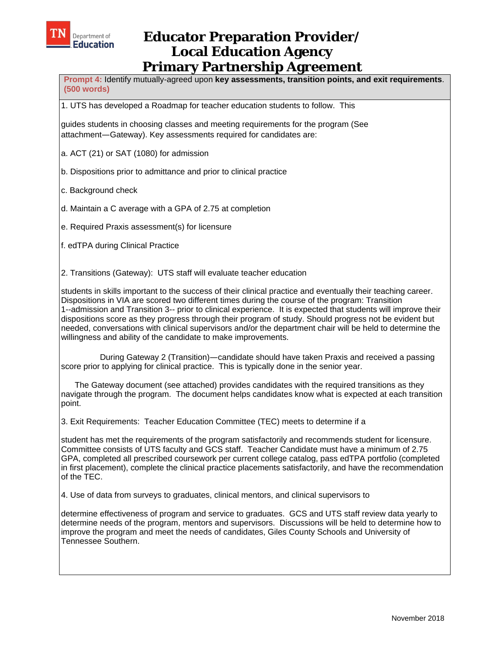

**Prompt 4:** Identify mutually-agreed upon **key assessments, transition points, and exit requirements**. **(500 words)** 

1. UTS has developed a Roadmap for teacher education students to follow. This

guides students in choosing classes and meeting requirements for the program (See attachment—Gateway). Key assessments required for candidates are:

- a. ACT (21) or SAT (1080) for admission
- b. Dispositions prior to admittance and prior to clinical practice

c. Background check

- d. Maintain a C average with a GPA of 2.75 at completion
- e. Required Praxis assessment(s) for licensure

f. edTPA during Clinical Practice

2. Transitions (Gateway): UTS staff will evaluate teacher education

students in skills important to the success of their clinical practice and eventually their teaching career. Dispositions in VIA are scored two different times during the course of the program: Transition 1--admission and Transition 3-- prior to clinical experience. It is expected that students will improve their dispositions score as they progress through their program of study. Should progress not be evident but needed, conversations with clinical supervisors and/or the department chair will be held to determine the willingness and ability of the candidate to make improvements.

 During Gateway 2 (Transition)—candidate should have taken Praxis and received a passing score prior to applying for clinical practice. This is typically done in the senior year.

 The Gateway document (see attached) provides candidates with the required transitions as they navigate through the program. The document helps candidates know what is expected at each transition point.

3. Exit Requirements: Teacher Education Committee (TEC) meets to determine if a

student has met the requirements of the program satisfactorily and recommends student for licensure. Committee consists of UTS faculty and GCS staff. Teacher Candidate must have a minimum of 2.75 GPA, completed all prescribed coursework per current college catalog, pass edTPA portfolio (completed in first placement), complete the clinical practice placements satisfactorily, and have the recommendation of the TEC.

4. Use of data from surveys to graduates, clinical mentors, and clinical supervisors to

determine effectiveness of program and service to graduates. GCS and UTS staff review data yearly to determine needs of the program, mentors and supervisors. Discussions will be held to determine how to improve the program and meet the needs of candidates, Giles County Schools and University of Tennessee Southern.